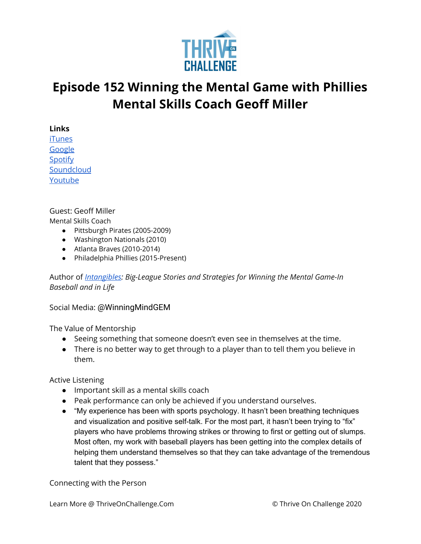

## **Episode 152 Winning the Mental Game with Phillies Mental Skills Coach Geoff Miller**

**Links**

[iTunes](https://podcasts.apple.com/us/podcast/coaching-culture/id1286560192) [Google](https://podcasts.google.com/feed/aHR0cHM6Ly9mZWVkcy5zb3VuZGNsb3VkLmNvbS91c2Vycy9zb3VuZGNsb3VkOnVzZXJzOjQxMDQyNzcvc291bmRzLnJzcw?ved=2ahUKEwiSpYquy9vqAhVbQUEAHSAkC88Q4aUDegQIARAC) [Spotify](https://open.spotify.com/show/336Hs8udk8s0yXuK3BzSOq) **[Soundcloud](https://soundcloud.com/thriveonchallenge)** [Youtube](https://www.youtube.com/channel/UC3vIljCBzwHcPyVIx9kiHvw)

Guest: Geoff Miller

Mental Skills Coach

- Pittsburgh Pirates (2005-2009)
- Washington Nationals (2010)
- Atlanta Braves (2010-2014)
- Philadelphia Phillies (2015-Present)

Author of *[Intangibles](https://www.amazon.com/Intangibles-Big-League-Strategies-Game-Baseball/dp/1618220160/ref=sr_1_1?crid=2IM6D5PN13L4D&dchild=1&keywords=intangibles+geoff+miller&qid=1596789879&sprefix=intangibles+geoff+miller%2Caps%2C641&sr=8-1): Big-League Stories and Strategies for Winning the Mental Game-In Baseball and in Life*

Social Media: @WinningMindGEM

The Value of Mentorship

- Seeing something that someone doesn't even see in themselves at the time.
- There is no better way to get through to a player than to tell them you believe in them.

Active Listening

- Important skill as a mental skills coach
- Peak performance can only be achieved if you understand ourselves.
- "My experience has been with sports psychology. It hasn't been breathing techniques and visualization and positive self-talk. For the most part, it hasn't been trying to "fix" players who have problems throwing strikes or throwing to first or getting out of slumps. Most often, my work with baseball players has been getting into the complex details of helping them understand themselves so that they can take advantage of the tremendous talent that they possess."

Connecting with the Person